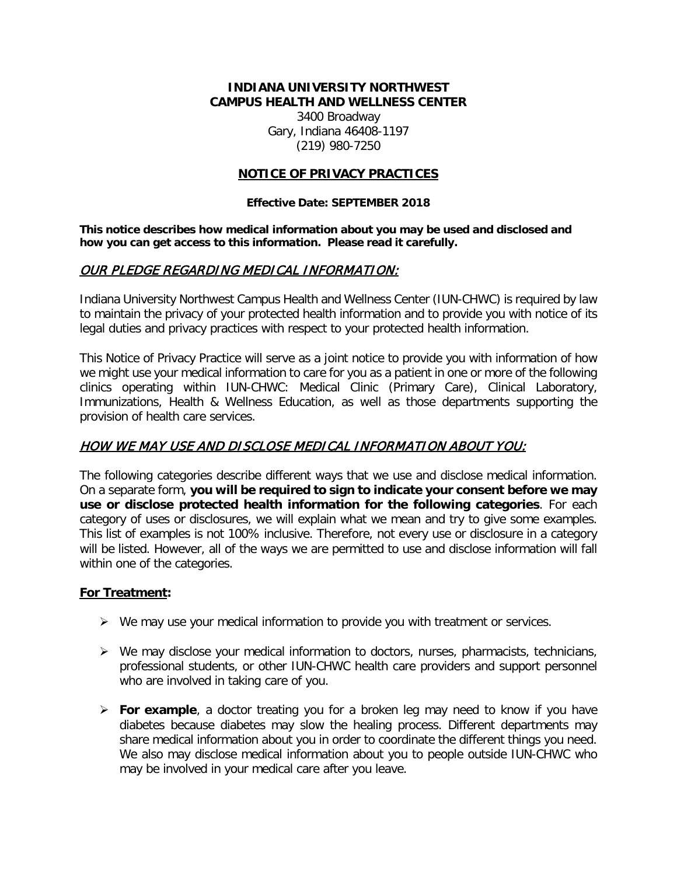#### **INDIANA UNIVERSITY NORTHWEST CAMPUS HEALTH AND WELLNESS CENTER**

3400 Broadway Gary, Indiana 46408-1197 (219) 980-7250

#### **NOTICE OF PRIVACY PRACTICES**

#### **Effective Date: SEPTEMBER 2018**

**This notice describes how medical information about you may be used and disclosed and how you can get access to this information. Please read it carefully.**

### OUR PLEDGE REGARDING MEDICAL INFORMATION:

Indiana University Northwest Campus Health and Wellness Center (IUN-CHWC) is required by law to maintain the privacy of your protected health information and to provide you with notice of its legal duties and privacy practices with respect to your protected health information.

This Notice of Privacy Practice will serve as a joint notice to provide you with information of how we might use your medical information to care for you as a patient in one or more of the following clinics operating within IUN-CHWC: Medical Clinic (Primary Care), Clinical Laboratory, Immunizations, Health & Wellness Education, as well as those departments supporting the provision of health care services.

# HOW WE MAY USE AND DISCLOSE MEDICAL INFORMATION ABOUT YOU:

The following categories describe different ways that we use and disclose medical information. On a separate form, **you will be required to sign to indicate your consent before we may use or disclose protected health information for the following categories**. For each category of uses or disclosures, we will explain what we mean and try to give some examples. This list of examples is not 100% inclusive. Therefore, not every use or disclosure in a category will be listed. However, all of the ways we are permitted to use and disclose information will fall within one of the categories.

#### **For Treatment:**

- $\triangleright$  We may use your medical information to provide you with treatment or services.
- $\triangleright$  We may disclose your medical information to doctors, nurses, pharmacists, technicians, professional students, or other IUN-CHWC health care providers and support personnel who are involved in taking care of you.
- **For example**, a doctor treating you for a broken leg may need to know if you have diabetes because diabetes may slow the healing process. Different departments may share medical information about you in order to coordinate the different things you need. We also may disclose medical information about you to people outside IUN-CHWC who may be involved in your medical care after you leave.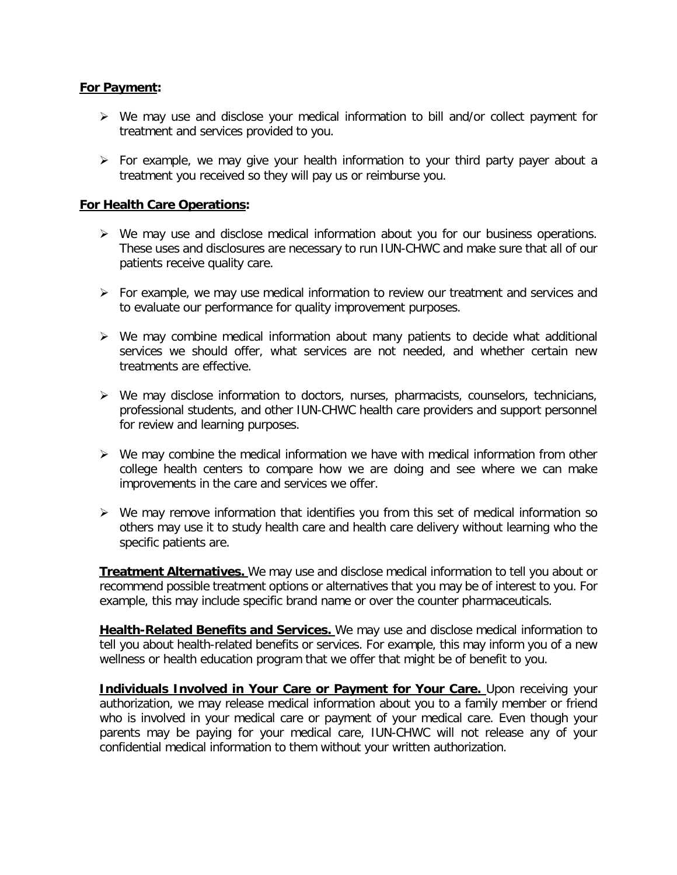#### **For Payment:**

- $\triangleright$  We may use and disclose your medical information to bill and/or collect payment for treatment and services provided to you.
- For example, we may give your health information to your third party payer about a treatment you received so they will pay us or reimburse you.

#### **For Health Care Operations:**

- $\triangleright$  We may use and disclose medical information about you for our business operations. These uses and disclosures are necessary to run IUN-CHWC and make sure that all of our patients receive quality care.
- $\triangleright$  For example, we may use medical information to review our treatment and services and to evaluate our performance for quality improvement purposes.
- $\triangleright$  We may combine medical information about many patients to decide what additional services we should offer, what services are not needed, and whether certain new treatments are effective.
- $\triangleright$  We may disclose information to doctors, nurses, pharmacists, counselors, technicians, professional students, and other IUN-CHWC health care providers and support personnel for review and learning purposes.
- $\triangleright$  We may combine the medical information we have with medical information from other college health centers to compare how we are doing and see where we can make improvements in the care and services we offer.
- $\triangleright$  We may remove information that identifies you from this set of medical information so others may use it to study health care and health care delivery without learning who the specific patients are.

**Treatment Alternatives.** We may use and disclose medical information to tell you about or recommend possible treatment options or alternatives that you may be of interest to you. For example, this may include specific brand name or over the counter pharmaceuticals.

**Health-Related Benefits and Services.** We may use and disclose medical information to tell you about health-related benefits or services. For example, this may inform you of a new wellness or health education program that we offer that might be of benefit to you.

**Individuals Involved in Your Care or Payment for Your Care.** Upon receiving your authorization, we may release medical information about you to a family member or friend who is involved in your medical care or payment of your medical care. Even though your parents may be paying for your medical care, IUN-CHWC will not release any of your confidential medical information to them without your written authorization.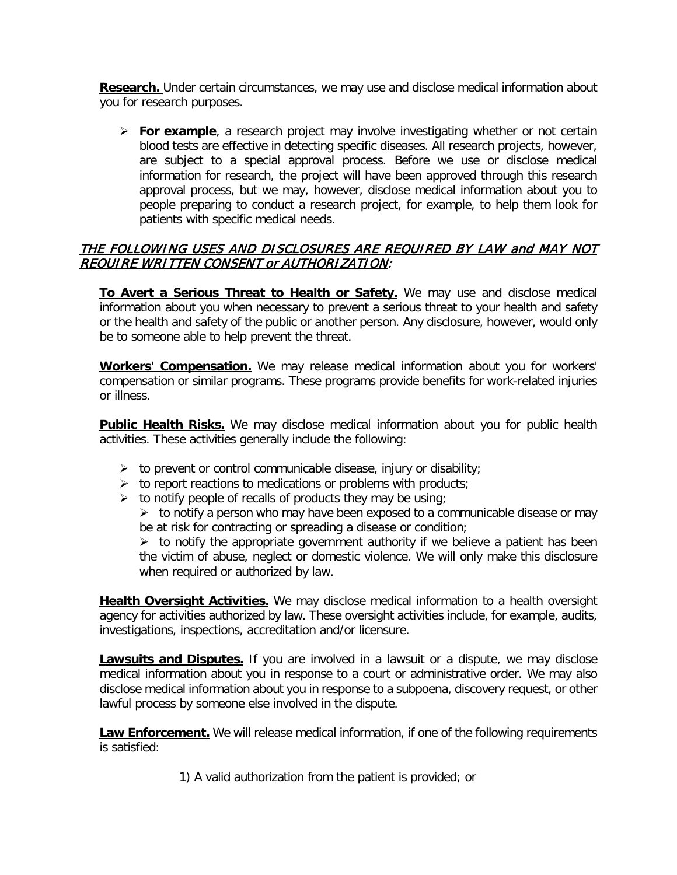**Research.** Under certain circumstances, we may use and disclose medical information about you for research purposes.

 **For example**, a research project may involve investigating whether or not certain blood tests are effective in detecting specific diseases. All research projects, however, are subject to a special approval process. Before we use or disclose medical information for research, the project will have been approved through this research approval process, but we may, however, disclose medical information about you to people preparing to conduct a research project, for example, to help them look for patients with specific medical needs.

### THE FOLLOWING USES AND DISCLOSURES ARE REQUIRED BY LAW and MAY NOT REQUIRE WRITTEN CONSENT or AUTHORIZATION:

**To Avert a Serious Threat to Health or Safety.** We may use and disclose medical information about you when necessary to prevent a serious threat to your health and safety or the health and safety of the public or another person. Any disclosure, however, would only be to someone able to help prevent the threat.

**Workers' Compensation.** We may release medical information about you for workers' compensation or similar programs. These programs provide benefits for work-related injuries or illness.

**Public Health Risks.** We may disclose medical information about you for public health activities. These activities generally include the following:

- $\triangleright$  to prevent or control communicable disease, injury or disability;
- $\triangleright$  to report reactions to medications or problems with products;
- $\triangleright$  to notify people of recalls of products they may be using;

 $\triangleright$  to notify a person who may have been exposed to a communicable disease or may be at risk for contracting or spreading a disease or condition;

 $\triangleright$  to notify the appropriate government authority if we believe a patient has been the victim of abuse, neglect or domestic violence. We will only make this disclosure when required or authorized by law.

**Health Oversight Activities.** We may disclose medical information to a health oversight agency for activities authorized by law. These oversight activities include, for example, audits, investigations, inspections, accreditation and/or licensure.

**Lawsuits and Disputes.** If you are involved in a lawsuit or a dispute, we may disclose medical information about you in response to a court or administrative order. We may also disclose medical information about you in response to a subpoena, discovery request, or other lawful process by someone else involved in the dispute.

**Law Enforcement.** We will release medical information, if one of the following requirements is satisfied:

1) A valid authorization from the patient is provided; or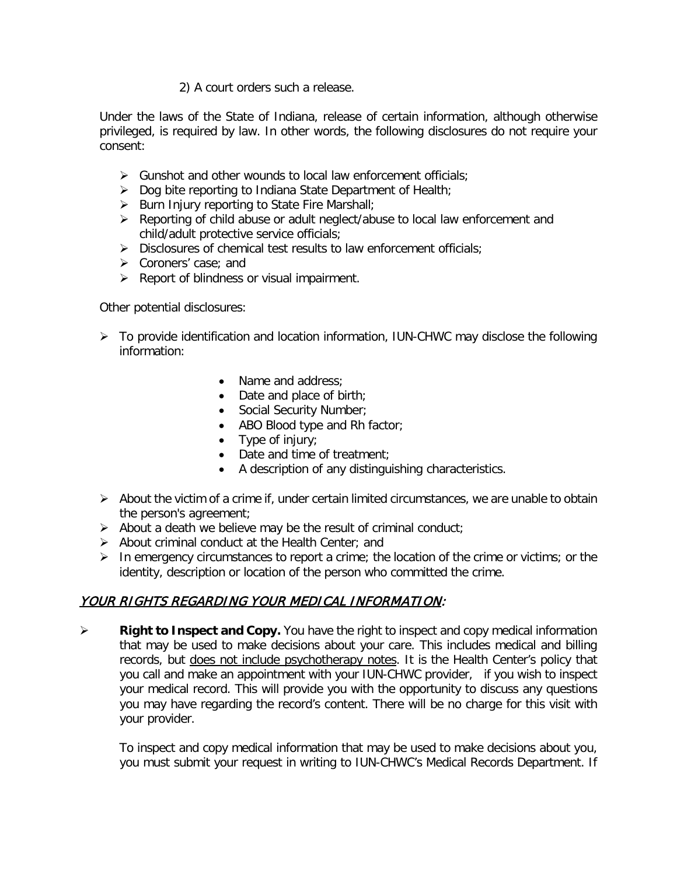#### 2) A court orders such a release.

Under the laws of the State of Indiana, release of certain information, although otherwise privileged, is required by law. In other words, the following disclosures do not require your consent:

- $\triangleright$  Gunshot and other wounds to local law enforcement officials;
- $\triangleright$  Dog bite reporting to Indiana State Department of Health;
- $\triangleright$  Burn Injury reporting to State Fire Marshall;
- ▶ Reporting of child abuse or adult neglect/abuse to local law enforcement and child/adult protective service officials;
- $\triangleright$  Disclosures of chemical test results to law enforcement officials;
- Coroners' case; and
- $\triangleright$  Report of blindness or visual impairment.

Other potential disclosures:

- $\triangleright$  To provide identification and location information, IUN-CHWC may disclose the following information:
	- Name and address:
	- Date and place of birth;
	- Social Security Number;
	- ABO Blood type and Rh factor;
	- Type of injury;
	- Date and time of treatment;
	- A description of any distinguishing characteristics.
- $\triangleright$  About the victim of a crime if, under certain limited circumstances, we are unable to obtain the person's agreement;
- $\triangleright$  About a death we believe may be the result of criminal conduct;
- $\triangleright$  About criminal conduct at the Health Center; and
- $\triangleright$  In emergency circumstances to report a crime; the location of the crime or victims; or the identity, description or location of the person who committed the crime.

# YOUR RIGHTS REGARDING YOUR MEDICAL INFORMATION:

 **Right to Inspect and Copy.** You have the right to inspect and copy medical information that may be used to make decisions about your care. This includes medical and billing records, but does not include psychotherapy notes. It is the Health Center's policy that you call and make an appointment with your IUN-CHWC provider, if you wish to inspect your medical record. This will provide you with the opportunity to discuss any questions you may have regarding the record's content. There will be no charge for this visit with your provider.

To inspect and copy medical information that may be used to make decisions about you, you must submit your request in writing to IUN-CHWC's Medical Records Department. If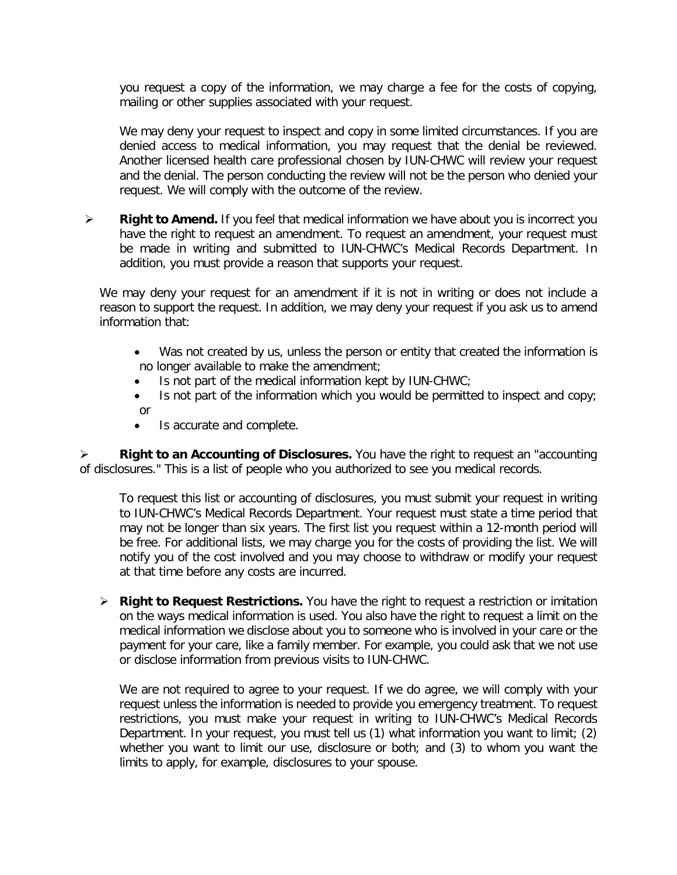you request a copy of the information, we may charge a fee for the costs of copying, mailing or other supplies associated with your request.

We may deny your request to inspect and copy in some limited circumstances. If you are denied access to medical information, you may request that the denial be reviewed. Another licensed health care professional chosen by IUN-CHWC will review your request and the denial. The person conducting the review will not be the person who denied your request. We will comply with the outcome of the review.

 **Right to Amend.** If you feel that medical information we have about you is incorrect you have the right to request an amendment. To request an amendment, your request must be made in writing and submitted to IUN-CHWC's Medical Records Department. In addition, you must provide a reason that supports your request.

We may deny your request for an amendment if it is not in writing or does not include a reason to support the request. In addition, we may deny your request if you ask us to amend information that:

- Was not created by us, unless the person or entity that created the information is no longer available to make the amendment;
- Is not part of the medical information kept by IUN-CHWC;
- Is not part of the information which you would be permitted to inspect and copy; or
- Is accurate and complete.

 **Right to an Accounting of Disclosures.** You have the right to request an "accounting of disclosures." This is a list of people who you authorized to see you medical records.

To request this list or accounting of disclosures, you must submit your request in writing to IUN-CHWC's Medical Records Department. Your request must state a time period that may not be longer than six years. The first list you request within a 12-month period will be free. For additional lists, we may charge you for the costs of providing the list. We will notify you of the cost involved and you may choose to withdraw or modify your request at that time before any costs are incurred.

 **Right to Request Restrictions.** You have the right to request a restriction or imitation on the ways medical information is used. You also have the right to request a limit on the medical information we disclose about you to someone who is involved in your care or the payment for your care, like a family member. For example, you could ask that we not use or disclose information from previous visits to IUN-CHWC.

We are not required to agree to your request. If we do agree, we will comply with your request unless the information is needed to provide you emergency treatment. To request restrictions, you must make your request in writing to IUN-CHWC's Medical Records Department. In your request, you must tell us (1) what information you want to limit; (2) whether you want to limit our use, disclosure or both; and (3) to whom you want the limits to apply, for example, disclosures to your spouse.